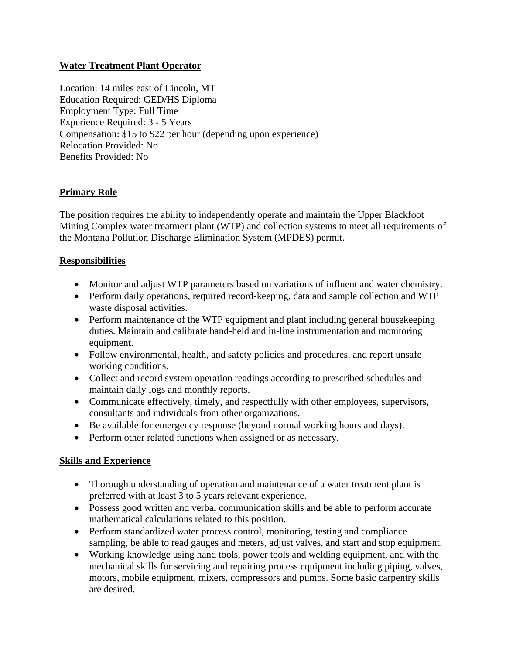## **Water Treatment Plant Operator**

Location: 14 miles east of Lincoln, MT Education Required: GED/HS Diploma Employment Type: Full Time Experience Required: 3 - 5 Years Compensation: \$15 to \$22 per hour (depending upon experience) Relocation Provided: No Benefits Provided: No

# **Primary Role**

The position requires the ability to independently operate and maintain the Upper Blackfoot Mining Complex water treatment plant (WTP) and collection systems to meet all requirements of the Montana Pollution Discharge Elimination System (MPDES) permit.

### **Responsibilities**

- Monitor and adjust WTP parameters based on variations of influent and water chemistry.
- Perform daily operations, required record-keeping, data and sample collection and WTP waste disposal activities.
- Perform maintenance of the WTP equipment and plant including general housekeeping duties. Maintain and calibrate hand-held and in-line instrumentation and monitoring equipment.
- Follow environmental, health, and safety policies and procedures, and report unsafe working conditions.
- Collect and record system operation readings according to prescribed schedules and maintain daily logs and monthly reports.
- Communicate effectively, timely, and respectfully with other employees, supervisors, consultants and individuals from other organizations.
- Be available for emergency response (beyond normal working hours and days).
- Perform other related functions when assigned or as necessary.

### **Skills and Experience**

- Thorough understanding of operation and maintenance of a water treatment plant is preferred with at least 3 to 5 years relevant experience.
- Possess good written and verbal communication skills and be able to perform accurate mathematical calculations related to this position.
- Perform standardized water process control, monitoring, testing and compliance sampling, be able to read gauges and meters, adjust valves, and start and stop equipment.
- Working knowledge using hand tools, power tools and welding equipment, and with the mechanical skills for servicing and repairing process equipment including piping, valves, motors, mobile equipment, mixers, compressors and pumps. Some basic carpentry skills are desired.